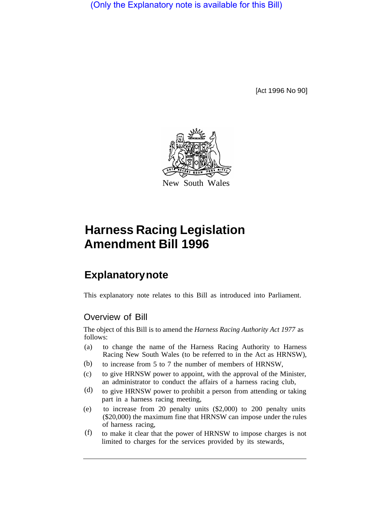(Only the Explanatory note is available for this Bill)

[Act 1996 No 90]



# **Harness Racing Legislation Amendment Bill 1996**

# **Explanatory note**

This explanatory note relates to this Bill as introduced into Parliament.

## Overview of Bill

The object of this Bill is to amend the *Harness Racing Authority Act 1977* as follows:

- (a) to change the name of the Harness Racing Authority to Harness Racing New South Wales (to be referred to in the Act as HRNSW),
- to increase from 5 to 7 the number of members of HRNSW, (b)
- (c) to give HRNSW power to appoint, with the approval of the Minister, an administrator to conduct the affairs of a harness racing club,
- to give HRNSW power to prohibit a person from attending or taking part in a harness racing meeting, (d)
- (e) to increase from 20 penalty units (\$2,000) to 200 penalty units (\$20,000) the maximum fine that HRNSW can impose under the rules of harness racing,
- to make it clear that the power of HRNSW to impose charges is not limited to charges for the services provided by its stewards, (f)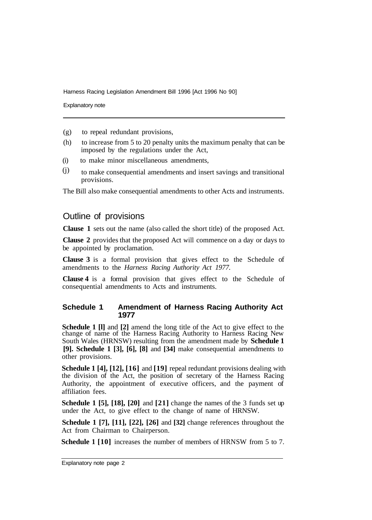Harness Racing Legislation Amendment Bill 1996 [Act 1996 No 90]

Explanatory note

- (g) to repeal redundant provisions,
- (h) to increase from 5 to 20 penalty units the maximum penalty that can be imposed by the regulations under the Act,
- (i) to make minor miscellaneous amendments,
- to make consequential amendments and insert savings and transitional provisions. (j)

The Bill also make consequential amendments to other Acts and instruments.

### Outline of provisions

**Clause 1** sets out the name (also called the short title) of the proposed Act.

**Clause 2** provides that the proposed Act will commence on a day or days to be appointed by proclamation.

**Clause 3** is a formal provision that gives effect to the Schedule of amendments to the *Harness Racing Authority Act 1977.* 

**Clause 4** is a formal provision that gives effect to the Schedule of consequential amendments to Acts and instruments.

#### **Schedule 1 Amendment of Harness Racing Authority Act 1977**

**Schedule 1 [l]** and **[2]** amend the long title of the Act to give effect to the change of name of the Harness Racing Authority to Harness Racing New South Wales (HRNSW) resulting from the amendment made by **Schedule 1 [9]. Schedule 1 [3], [6], [8]** and **[34]** make consequential amendments to other provisions.

**Schedule 1 [4], [12], [16]** and **[19]** repeal redundant provisions dealing with the division of the Act, the position of secretary of the Harness Racing Authority, the appointment of executive officers, and the payment of affiliation fees.

**Schedule 1 [5], [18], [20]** and **[21]** change the names of the 3 funds set up under the Act, to give effect to the change of name of HRNSW.

**Schedule 1 [7], [11], [22], [26]** and **[32]** change references throughout the Act from Chairman to Chairperson.

**Schedule 1 [10]** increases the number of members of HRNSW from 5 to 7.

Explanatory note page 2